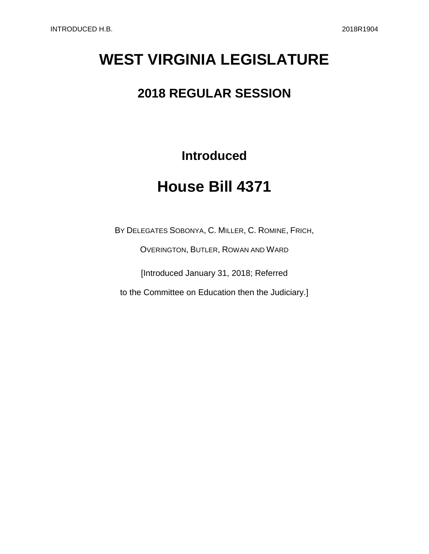# **WEST VIRGINIA LEGISLATURE**

### **2018 REGULAR SESSION**

**Introduced**

# **House Bill 4371**

BY DELEGATES SOBONYA, C. MILLER, C. ROMINE, FRICH,

OVERINGTON, BUTLER, ROWAN AND WARD

[Introduced January 31, 2018; Referred

to the Committee on Education then the Judiciary.]